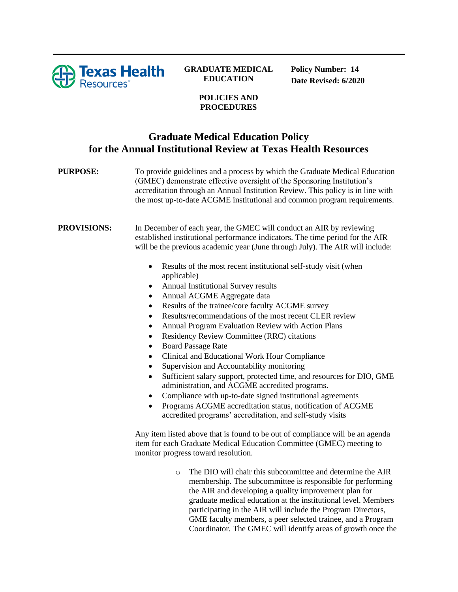

## **GRADUATE MEDICAL EDUCATION**

**Policy Number: 14 Date Revised: 6/2020**

## **POLICIES AND PROCEDURES**

## **Graduate Medical Education Policy for the Annual Institutional Review at Texas Health Resources**

**PURPOSE:** To provide guidelines and a process by which the Graduate Medical Education (GMEC) demonstrate effective oversight of the Sponsoring Institution's accreditation through an Annual Institution Review. This policy is in line with the most up-to-date ACGME institutional and common program requirements.

**PROVISIONS:** In December of each year, the GMEC will conduct an AIR by reviewing established institutional performance indicators. The time period for the AIR will be the previous academic year (June through July). The AIR will include:

- Results of the most recent institutional self-study visit (when applicable)
- Annual Institutional Survey results
- Annual ACGME Aggregate data
- Results of the trainee/core faculty ACGME survey
- Results/recommendations of the most recent CLER review
- Annual Program Evaluation Review with Action Plans
- Residency Review Committee (RRC) citations
- Board Passage Rate
- Clinical and Educational Work Hour Compliance
- Supervision and Accountability monitoring
- Sufficient salary support, protected time, and resources for DIO, GME administration, and ACGME accredited programs.
- Compliance with up-to-date signed institutional agreements
- Programs ACGME accreditation status, notification of ACGME accredited programs' accreditation, and self-study visits

Any item listed above that is found to be out of compliance will be an agenda item for each Graduate Medical Education Committee (GMEC) meeting to monitor progress toward resolution.

> o The DIO will chair this subcommittee and determine the AIR membership. The subcommittee is responsible for performing the AIR and developing a quality improvement plan for graduate medical education at the institutional level. Members participating in the AIR will include the Program Directors, GME faculty members, a peer selected trainee, and a Program Coordinator. The GMEC will identify areas of growth once the